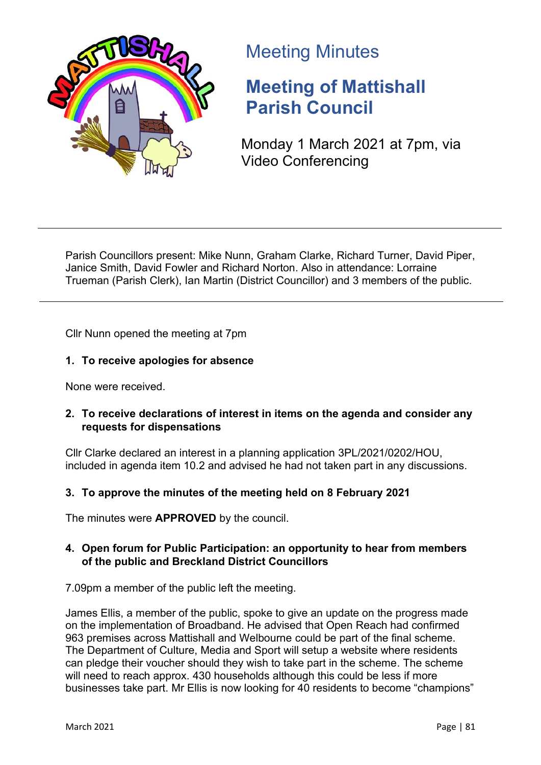

# Meeting Minutes

# **Meeting of Mattishall Parish Council**

Monday 1 March 2021 at 7pm, via Video Conferencing

Parish Councillors present: Mike Nunn, Graham Clarke, Richard Turner, David Piper, Janice Smith, David Fowler and Richard Norton. Also in attendance: Lorraine Trueman (Parish Clerk), Ian Martin (District Councillor) and 3 members of the public.

Cllr Nunn opened the meeting at 7pm

# **1. To receive apologies for absence**

None were received.

# **2. To receive declarations of interest in items on the agenda and consider any requests for dispensations**

Cllr Clarke declared an interest in a planning application 3PL/2021/0202/HOU, included in agenda item 10.2 and advised he had not taken part in any discussions.

# **3. To approve the minutes of the meeting held on 8 February 2021**

The minutes were **APPROVED** by the council.

# **4. Open forum for Public Participation: an opportunity to hear from members of the public and Breckland District Councillors**

7.09pm a member of the public left the meeting.

James Ellis, a member of the public, spoke to give an update on the progress made on the implementation of Broadband. He advised that Open Reach had confirmed 963 premises across Mattishall and Welbourne could be part of the final scheme. The Department of Culture, Media and Sport will setup a website where residents can pledge their voucher should they wish to take part in the scheme. The scheme will need to reach approx. 430 households although this could be less if more businesses take part. Mr Ellis is now looking for 40 residents to become "champions"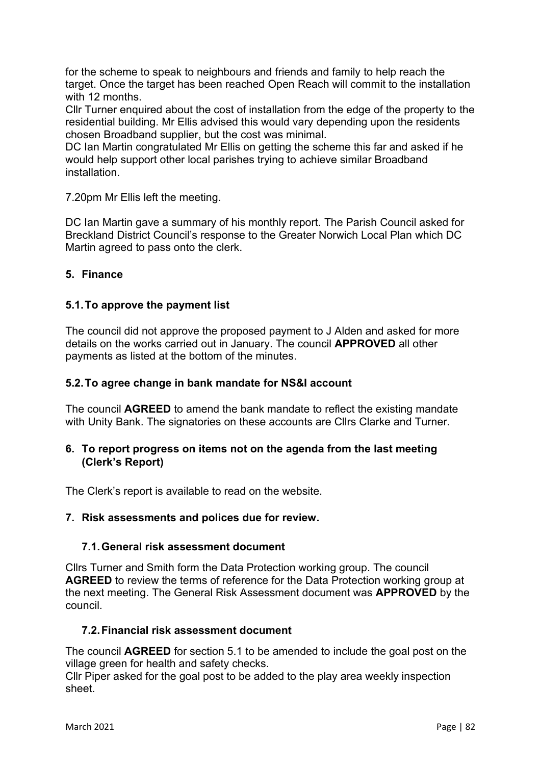for the scheme to speak to neighbours and friends and family to help reach the target. Once the target has been reached Open Reach will commit to the installation with 12 months

Cllr Turner enquired about the cost of installation from the edge of the property to the residential building. Mr Ellis advised this would vary depending upon the residents chosen Broadband supplier, but the cost was minimal.

DC Ian Martin congratulated Mr Ellis on getting the scheme this far and asked if he would help support other local parishes trying to achieve similar Broadband installation.

7.20pm Mr Ellis left the meeting.

DC Ian Martin gave a summary of his monthly report. The Parish Council asked for Breckland District Council's response to the Greater Norwich Local Plan which DC Martin agreed to pass onto the clerk.

#### **5. Finance**

#### **5.1.To approve the payment list**

The council did not approve the proposed payment to J Alden and asked for more details on the works carried out in January. The council **APPROVED** all other payments as listed at the bottom of the minutes.

#### **5.2.To agree change in bank mandate for NS&I account**

The council **AGREED** to amend the bank mandate to reflect the existing mandate with Unity Bank. The signatories on these accounts are Cllrs Clarke and Turner.

#### **6. To report progress on items not on the agenda from the last meeting (Clerk's Report)**

The Clerk's report is available to read on the website.

#### **7. Risk assessments and polices due for review.**

#### **7.1.General risk assessment document**

Cllrs Turner and Smith form the Data Protection working group. The council **AGREED** to review the terms of reference for the Data Protection working group at the next meeting. The General Risk Assessment document was **APPROVED** by the council.

#### **7.2.Financial risk assessment document**

The council **AGREED** for section 5.1 to be amended to include the goal post on the village green for health and safety checks.

Cllr Piper asked for the goal post to be added to the play area weekly inspection sheet.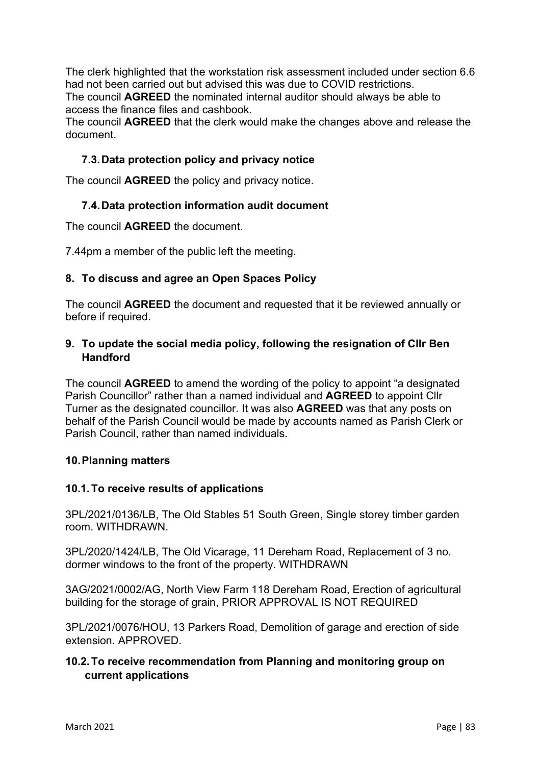The clerk highlighted that the workstation risk assessment included under section 6.6 had not been carried out but advised this was due to COVID restrictions. The council **AGREED** the nominated internal auditor should always be able to access the finance files and cashbook.

The council **AGREED** that the clerk would make the changes above and release the document.

# **7.3.Data protection policy and privacy notice**

The council **AGREED** the policy and privacy notice.

# **7.4.Data protection information audit document**

The council **AGREED** the document.

7.44pm a member of the public left the meeting.

#### **8. To discuss and agree an Open Spaces Policy**

The council **AGREED** the document and requested that it be reviewed annually or before if required.

### **9. To update the social media policy, following the resignation of Cllr Ben Handford**

The council **AGREED** to amend the wording of the policy to appoint "a designated Parish Councillor" rather than a named individual and **AGREED** to appoint Cllr Turner as the designated councillor. It was also **AGREED** was that any posts on behalf of the Parish Council would be made by accounts named as Parish Clerk or Parish Council, rather than named individuals.

#### **10.Planning matters**

#### **10.1.To receive results of applications**

3PL/2021/0136/LB, The Old Stables 51 South Green, Single storey timber garden room. WITHDRAWN.

3PL/2020/1424/LB, The Old Vicarage, 11 Dereham Road, Replacement of 3 no. dormer windows to the front of the property. WITHDRAWN

3AG/2021/0002/AG, North View Farm 118 Dereham Road, Erection of agricultural building for the storage of grain, PRIOR APPROVAL IS NOT REQUIRED

3PL/2021/0076/HOU, 13 Parkers Road, Demolition of garage and erection of side extension. APPROVED.

# **10.2.To receive recommendation from Planning and monitoring group on current applications**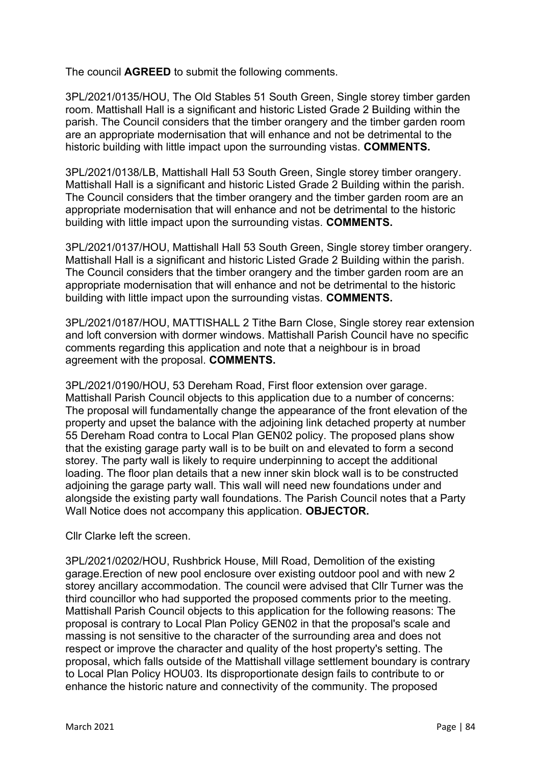The council **AGREED** to submit the following comments.

3PL/2021/0135/HOU, The Old Stables 51 South Green, Single storey timber garden room. Mattishall Hall is a significant and historic Listed Grade 2 Building within the parish. The Council considers that the timber orangery and the timber garden room are an appropriate modernisation that will enhance and not be detrimental to the historic building with little impact upon the surrounding vistas. **COMMENTS.**

3PL/2021/0138/LB, Mattishall Hall 53 South Green, Single storey timber orangery. Mattishall Hall is a significant and historic Listed Grade 2 Building within the parish. The Council considers that the timber orangery and the timber garden room are an appropriate modernisation that will enhance and not be detrimental to the historic building with little impact upon the surrounding vistas. **COMMENTS.**

3PL/2021/0137/HOU, Mattishall Hall 53 South Green, Single storey timber orangery. Mattishall Hall is a significant and historic Listed Grade 2 Building within the parish. The Council considers that the timber orangery and the timber garden room are an appropriate modernisation that will enhance and not be detrimental to the historic building with little impact upon the surrounding vistas. **COMMENTS.**

3PL/2021/0187/HOU, MATTISHALL 2 Tithe Barn Close, Single storey rear extension and loft conversion with dormer windows. Mattishall Parish Council have no specific comments regarding this application and note that a neighbour is in broad agreement with the proposal. **COMMENTS.**

3PL/2021/0190/HOU, 53 Dereham Road, First floor extension over garage. Mattishall Parish Council objects to this application due to a number of concerns: The proposal will fundamentally change the appearance of the front elevation of the property and upset the balance with the adjoining link detached property at number 55 Dereham Road contra to Local Plan GEN02 policy. The proposed plans show that the existing garage party wall is to be built on and elevated to form a second storey. The party wall is likely to require underpinning to accept the additional loading. The floor plan details that a new inner skin block wall is to be constructed adjoining the garage party wall. This wall will need new foundations under and alongside the existing party wall foundations. The Parish Council notes that a Party Wall Notice does not accompany this application. **OBJECTOR.**

Cllr Clarke left the screen.

3PL/2021/0202/HOU, Rushbrick House, Mill Road, Demolition of the existing garage.Erection of new pool enclosure over existing outdoor pool and with new 2 storey ancillary accommodation. The council were advised that Cllr Turner was the third councillor who had supported the proposed comments prior to the meeting. Mattishall Parish Council objects to this application for the following reasons: The proposal is contrary to Local Plan Policy GEN02 in that the proposal's scale and massing is not sensitive to the character of the surrounding area and does not respect or improve the character and quality of the host property's setting. The proposal, which falls outside of the Mattishall village settlement boundary is contrary to Local Plan Policy HOU03. Its disproportionate design fails to contribute to or enhance the historic nature and connectivity of the community. The proposed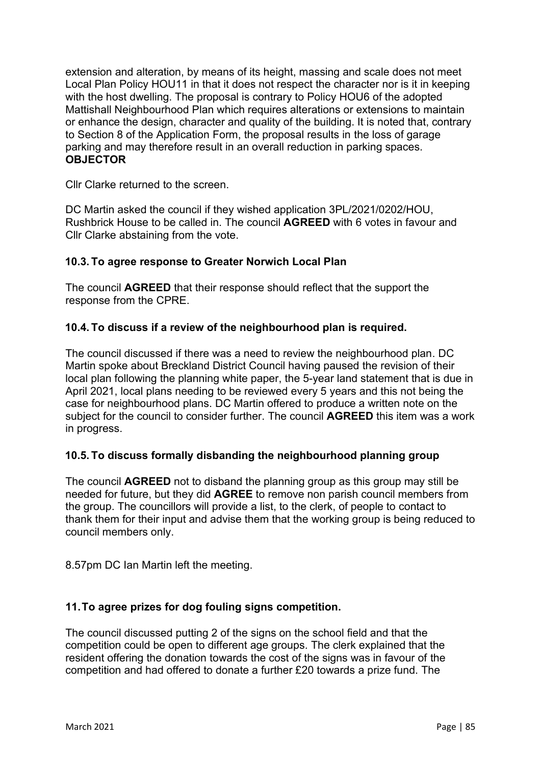extension and alteration, by means of its height, massing and scale does not meet Local Plan Policy HOU11 in that it does not respect the character nor is it in keeping with the host dwelling. The proposal is contrary to Policy HOU6 of the adopted Mattishall Neighbourhood Plan which requires alterations or extensions to maintain or enhance the design, character and quality of the building. It is noted that, contrary to Section 8 of the Application Form, the proposal results in the loss of garage parking and may therefore result in an overall reduction in parking spaces. **OBJECTOR**

Cllr Clarke returned to the screen.

DC Martin asked the council if they wished application 3PL/2021/0202/HOU, Rushbrick House to be called in. The council **AGREED** with 6 votes in favour and Cllr Clarke abstaining from the vote.

#### **10.3. To agree response to Greater Norwich Local Plan**

The council **AGREED** that their response should reflect that the support the response from the CPRE.

#### **10.4. To discuss if a review of the neighbourhood plan is required.**

The council discussed if there was a need to review the neighbourhood plan. DC Martin spoke about Breckland District Council having paused the revision of their local plan following the planning white paper, the 5-year land statement that is due in April 2021, local plans needing to be reviewed every 5 years and this not being the case for neighbourhood plans. DC Martin offered to produce a written note on the subject for the council to consider further. The council **AGREED** this item was a work in progress.

#### **10.5. To discuss formally disbanding the neighbourhood planning group**

The council **AGREED** not to disband the planning group as this group may still be needed for future, but they did **AGREE** to remove non parish council members from the group. The councillors will provide a list, to the clerk, of people to contact to thank them for their input and advise them that the working group is being reduced to council members only.

8.57pm DC Ian Martin left the meeting.

#### **11.To agree prizes for dog fouling signs competition.**

The council discussed putting 2 of the signs on the school field and that the competition could be open to different age groups. The clerk explained that the resident offering the donation towards the cost of the signs was in favour of the competition and had offered to donate a further £20 towards a prize fund. The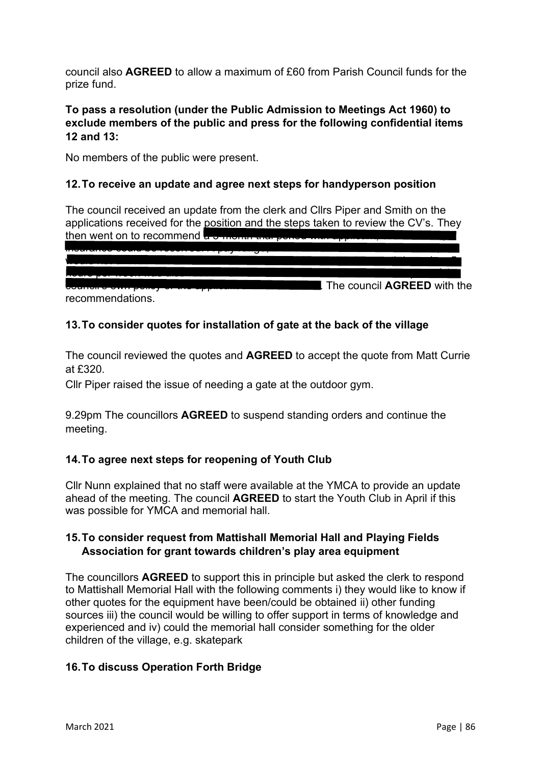council also **AGREED** to allow a maximum of £60 from Parish Council funds for the prize fund.

# **To pass a resolution (under the Public Admission to Meetings Act 1960) to exclude members of the public and press for the following confidential items 12 and 13:**

No members of the public were present.

### **12.To receive an update and agree next steps for handyperson position**

The council received an update from the clerk and Cllrs Piper and Smith on the applications received for the position and the steps taken to review the CV's. They then went on to recommend a 3-month are

| <del>noa</del>                               |                             |
|----------------------------------------------|-----------------------------|
| <u>coariou o omir bouot or are abbutante</u> | The council AGREED with the |
| recommendations.                             |                             |

# **13.To consider quotes for installation of gate at the back of the village**

The council reviewed the quotes and **AGREED** to accept the quote from Matt Currie at £320.

Cllr Piper raised the issue of needing a gate at the outdoor gym.

9.29pm The councillors **AGREED** to suspend standing orders and continue the meeting.

#### **14.To agree next steps for reopening of Youth Club**

Cllr Nunn explained that no staff were available at the YMCA to provide an update ahead of the meeting. The council **AGREED** to start the Youth Club in April if this was possible for YMCA and memorial hall.

# **15.To consider request from Mattishall Memorial Hall and Playing Fields Association for grant towards children's play area equipment**

The councillors **AGREED** to support this in principle but asked the clerk to respond to Mattishall Memorial Hall with the following comments i) they would like to know if other quotes for the equipment have been/could be obtained ii) other funding sources iii) the council would be willing to offer support in terms of knowledge and experienced and iv) could the memorial hall consider something for the older children of the village, e.g. skatepark

# **16.To discuss Operation Forth Bridge**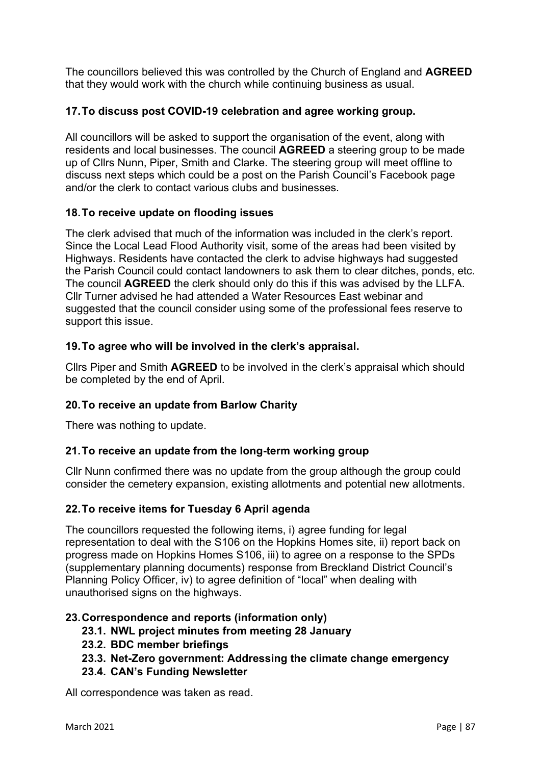The councillors believed this was controlled by the Church of England and **AGREED**  that they would work with the church while continuing business as usual.

# **17.To discuss post COVID-19 celebration and agree working group.**

All councillors will be asked to support the organisation of the event, along with residents and local businesses. The council **AGREED** a steering group to be made up of Cllrs Nunn, Piper, Smith and Clarke. The steering group will meet offline to discuss next steps which could be a post on the Parish Council's Facebook page and/or the clerk to contact various clubs and businesses.

# **18.To receive update on flooding issues**

The clerk advised that much of the information was included in the clerk's report. Since the Local Lead Flood Authority visit, some of the areas had been visited by Highways. Residents have contacted the clerk to advise highways had suggested the Parish Council could contact landowners to ask them to clear ditches, ponds, etc. The council **AGREED** the clerk should only do this if this was advised by the LLFA. Cllr Turner advised he had attended a Water Resources East webinar and suggested that the council consider using some of the professional fees reserve to support this issue.

# **19.To agree who will be involved in the clerk's appraisal.**

Cllrs Piper and Smith **AGREED** to be involved in the clerk's appraisal which should be completed by the end of April.

# **20.To receive an update from Barlow Charity**

There was nothing to update.

#### **21.To receive an update from the long-term working group**

Cllr Nunn confirmed there was no update from the group although the group could consider the cemetery expansion, existing allotments and potential new allotments.

#### **22.To receive items for Tuesday 6 April agenda**

The councillors requested the following items, i) agree funding for legal representation to deal with the S106 on the Hopkins Homes site, ii) report back on progress made on Hopkins Homes S106, iii) to agree on a response to the SPDs (supplementary planning documents) response from Breckland District Council's Planning Policy Officer, iv) to agree definition of "local" when dealing with unauthorised signs on the highways.

#### **23.Correspondence and reports (information only)**

- **23.1. NWL project minutes from meeting 28 January**
- **23.2. BDC member briefings**
- **23.3. Net-Zero government: Addressing the climate change emergency**
- **23.4. CAN's Funding Newsletter**

All correspondence was taken as read.